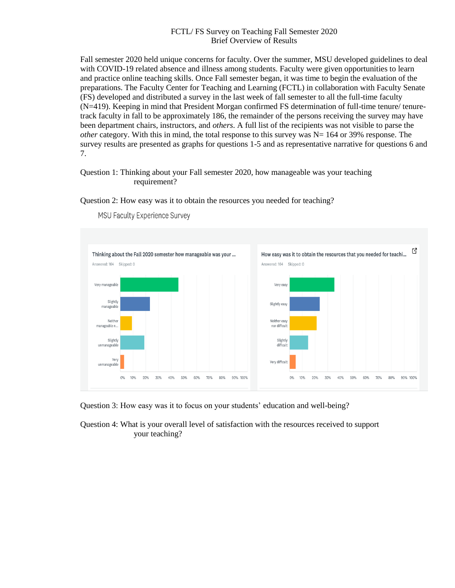# FCTL/ FS Survey on Teaching Fall Semester 2020 Brief Overview of Results

Fall semester 2020 held unique concerns for faculty. Over the summer, MSU developed guidelines to deal with COVID-19 related absence and illness among students. Faculty were given opportunities to learn and practice online teaching skills. Once Fall semester began, it was time to begin the evaluation of the preparations. The Faculty Center for Teaching and Learning (FCTL) in collaboration with Faculty Senate (FS) developed and distributed a survey in the last week of fall semester to all the full-time faculty (N=419). Keeping in mind that President Morgan confirmed FS determination of full-time tenure/ tenuretrack faculty in fall to be approximately 186, the remainder of the persons receiving the survey may have been department chairs, instructors, and *others*. A full list of the recipients was not visible to parse the *other* category. With this in mind, the total response to this survey was  $N = 164$  or 39% response. The survey results are presented as graphs for questions 1-5 and as representative narrative for questions 6 and 7.

# Question 1: Thinking about your Fall semester 2020, how manageable was your teaching requirement?

## Question 2: How easy was it to obtain the resources you needed for teaching?



MSU Faculty Experience Survey

Question 3: How easy was it to focus on your students' education and well-being?

Question 4: What is your overall level of satisfaction with the resources received to support your teaching?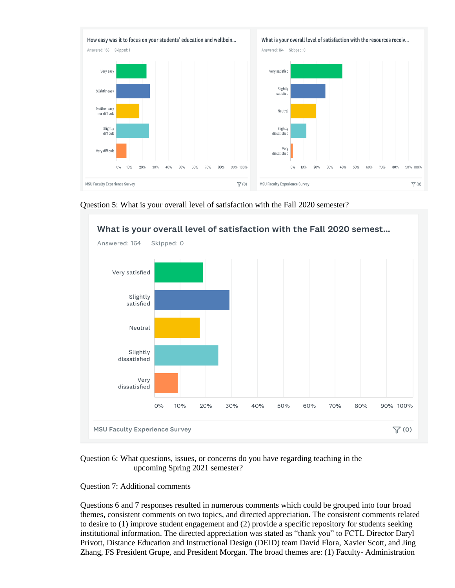



Question 5: What is your overall level of satisfaction with the Fall 2020 semester?

Question 6: What questions, issues, or concerns do you have regarding teaching in the upcoming Spring 2021 semester?

Question 7: Additional comments

Questions 6 and 7 responses resulted in numerous comments which could be grouped into four broad themes, consistent comments on two topics, and directed appreciation. The consistent comments related to desire to (1) improve student engagement and (2) provide a specific repository for students seeking institutional information. The directed appreciation was stated as "thank you" to FCTL Director Daryl Privott, Distance Education and Instructional Design (DEID) team David Flora, Xavier Scott, and Jing Zhang, FS President Grupe, and President Morgan. The broad themes are: (1) Faculty- Administration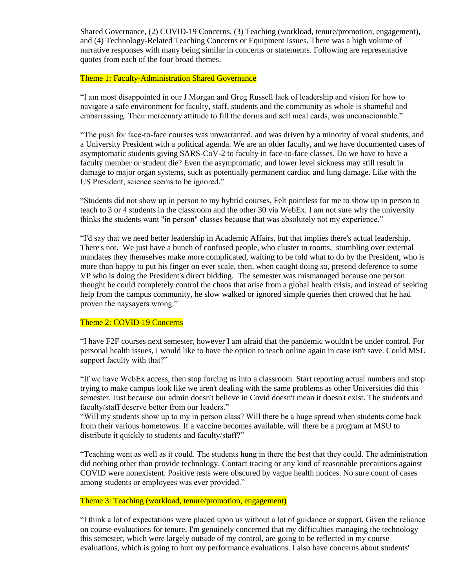Shared Governance, (2) COVID-19 Concerns, (3) Teaching (workload, tenure/promotion, engagement), and (4) Technology-Related Teaching Concerns or Equipment Issues. There was a high volume of narrative responses with many being similar in concerns or statements. Following are representative quotes from each of the four broad themes.

#### Theme 1: Faculty-Administration Shared Governance

"I am most disappointed in our J Morgan and Greg Russell lack of leadership and vision for how to navigate a safe environment for faculty, staff, students and the community as whole is shameful and embarrassing. Their mercenary attitude to fill the dorms and sell meal cards, was unconscionable."

"The push for face-to-face courses was unwarranted, and was driven by a minority of vocal students, and a University President with a political agenda. We are an older faculty, and we have documented cases of asymptomatic students giving SARS-CoV-2 to faculty in face-to-face classes. Do we have to have a faculty member or student die? Even the asymptomatic, and lower level sickness may still result in damage to major organ systems, such as potentially permanent cardiac and lung damage. Like with the US President, science seems to be ignored."

"Students did not show up in person to my hybrid courses. Felt pointless for me to show up in person to teach to 3 or 4 students in the classroom and the other 30 via WebEx. I am not sure why the university thinks the students want "in person" classes because that was absolutely not my experience."

"I'd say that we need better leadership in Academic Affairs, but that implies there's actual leadership. There's not. We just have a bunch of confused people, who cluster in rooms, stumbling over external mandates they themselves make more complicated, waiting to be told what to do by the President, who is more than happy to put his finger on ever scale, then, when caught doing so, pretend deference to some VP who is doing the President's direct bidding. The semester was mismanaged because one person thought he could completely control the chaos that arise from a global health crisis, and instead of seeking help from the campus community, he slow walked or ignored simple queries then crowed that he had proven the naysayers wrong."

## Theme 2: COVID-19 Concerns

"I have F2F courses next semester, however I am afraid that the pandemic wouldn't be under control. For personal health issues, I would like to have the option to teach online again in case isn't save. Could MSU support faculty with that?"

"If we have WebEx access, then stop forcing us into a classroom. Start reporting actual numbers and stop trying to make campus look like we aren't dealing with the same problems as other Universities did this semester. Just because our admin doesn't believe in Covid doesn't mean it doesn't exist. The students and faculty/staff deserve better from our leaders."

"Will my students show up to my in person class? Will there be a huge spread when students come back from their various hometowns. If a vaccine becomes available, will there be a program at MSU to distribute it quickly to students and faculty/staff?"

"Teaching went as well as it could. The students hung in there the best that they could. The administration did nothing other than provide technology. Contact tracing or any kind of reasonable precautions against COVID were nonexistent. Positive tests were obscured by vague health notices. No sure count of cases among students or employees was ever provided."

### Theme 3: Teaching (workload, tenure/promotion, engagement)

"I think a lot of expectations were placed upon us without a lot of guidance or support. Given the reliance on course evaluations for tenure, I'm genuinely concerned that my difficulties managing the technology this semester, which were largely outside of my control, are going to be reflected in my course evaluations, which is going to hurt my performance evaluations. I also have concerns about students'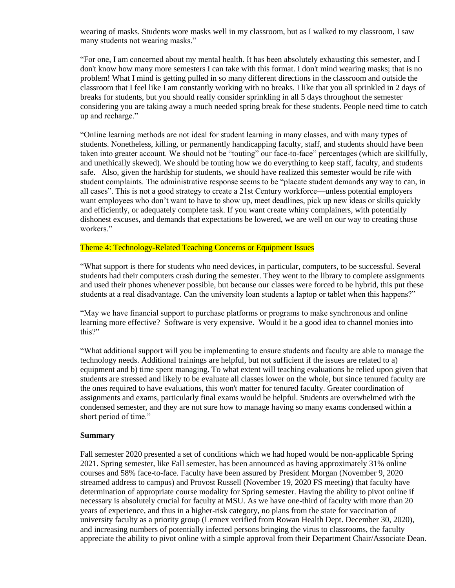wearing of masks. Students wore masks well in my classroom, but as I walked to my classroom, I saw many students not wearing masks."

"For one, I am concerned about my mental health. It has been absolutely exhausting this semester, and I don't know how many more semesters I can take with this format. I don't mind wearing masks; that is no problem! What I mind is getting pulled in so many different directions in the classroom and outside the classroom that I feel like I am constantly working with no breaks. I like that you all sprinkled in 2 days of breaks for students, but you should really consider sprinkling in all 5 days throughout the semester considering you are taking away a much needed spring break for these students. People need time to catch up and recharge."

"Online learning methods are not ideal for student learning in many classes, and with many types of students. Nonetheless, killing, or permanently handicapping faculty, staff, and students should have been taken into greater account. We should not be "touting" our face-to-face" percentages (which are skillfully, and unethically skewed). We should be touting how we do everything to keep staff, faculty, and students safe. Also, given the hardship for students, we should have realized this semester would be rife with student complaints. The administrative response seems to be "placate student demands any way to can, in all cases". This is not a good strategy to create a 21st Century workforce—unless potential employers want employees who don't want to have to show up, meet deadlines, pick up new ideas or skills quickly and efficiently, or adequately complete task. If you want create whiny complainers, with potentially dishonest excuses, and demands that expectations be lowered, we are well on our way to creating those workers."

### Theme 4: Technology-Related Teaching Concerns or Equipment Issues

"What support is there for students who need devices, in particular, computers, to be successful. Several students had their computers crash during the semester. They went to the library to complete assignments and used their phones whenever possible, but because our classes were forced to be hybrid, this put these students at a real disadvantage. Can the university loan students a laptop or tablet when this happens?"

"May we have financial support to purchase platforms or programs to make synchronous and online learning more effective? Software is very expensive. Would it be a good idea to channel monies into this?"

"What additional support will you be implementing to ensure students and faculty are able to manage the technology needs. Additional trainings are helpful, but not sufficient if the issues are related to a) equipment and b) time spent managing. To what extent will teaching evaluations be relied upon given that students are stressed and likely to be evaluate all classes lower on the whole, but since tenured faculty are the ones required to have evaluations, this won't matter for tenured faculty. Greater coordination of assignments and exams, particularly final exams would be helpful. Students are overwhelmed with the condensed semester, and they are not sure how to manage having so many exams condensed within a short period of time."

#### **Summary**

Fall semester 2020 presented a set of conditions which we had hoped would be non-applicable Spring 2021. Spring semester, like Fall semester, has been announced as having approximately 31% online courses and 58% face-to-face. Faculty have been assured by President Morgan (November 9, 2020 streamed address to campus) and Provost Russell (November 19, 2020 FS meeting) that faculty have determination of appropriate course modality for Spring semester. Having the ability to pivot online if necessary is absolutely crucial for faculty at MSU. As we have one-third of faculty with more than 20 years of experience, and thus in a higher-risk category, no plans from the state for vaccination of university faculty as a priority group (Lennex verified from Rowan Health Dept. December 30, 2020), and increasing numbers of potentially infected persons bringing the virus to classrooms, the faculty appreciate the ability to pivot online with a simple approval from their Department Chair/Associate Dean.